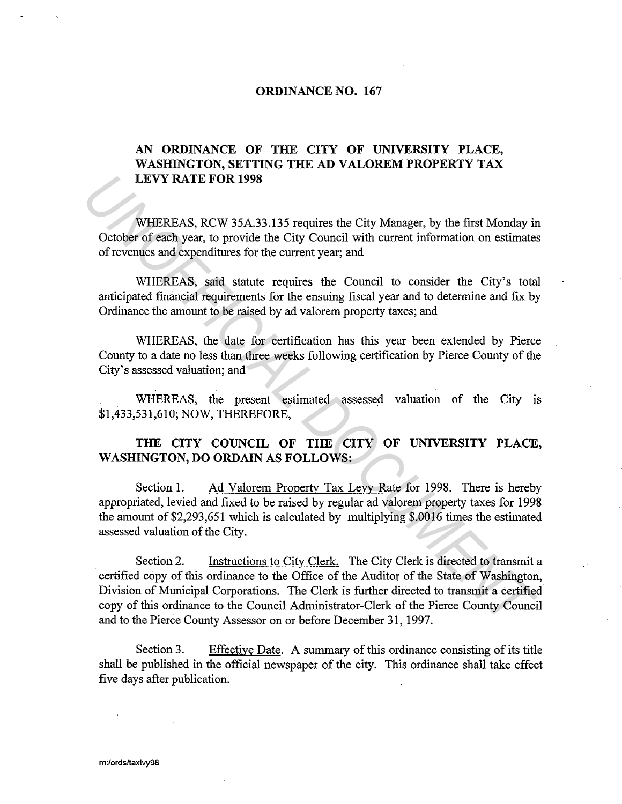## **ORDINANCE NO. 167**

## **AN ORDINANCE OF THE CITY OF UNIVERSITY PLACE, WASHINGTON, SETTING THE AD VALOREM PROPERTY TAX LEVY RATE FOR 1998**

WHEREAS, RCW 35A.33.135 requires the City Manager, by the first Monday in October of each year, to provide the City Council with current information on estimates of revenues and expenditures for the current year; and

WHEREAS, said statute requires the Council to consider the City's total anticipated financial requirements for the ensuing fiscal year and to determine and fix by Ordinance the amount to be raised by ad valorem property taxes; and

WHEREAS, the date for certification has this year been extended by Pierce County to a date no less than three weeks following certification by Pierce County of the City's assessed valuation; and

WHEREAS, the present estimated assessed valuation of the City is \$1,433,531,610; NOW, THEREFORE,

## **THE CITY COUNCIL OF THE CITY OF UNIVERSITY PLACE, WASHINGTON, DO ORDAIN AS FOLLOWS:**

Section 1. Ad Valorem Property Tax Levy Rate for 1998. There is hereby appropriated, levied and fixed to be raised by regular ad valorem property taxes for 1998 the amount of\$2,293,651 which is calculated by multiplying \$.0016 times the estimated assessed valuation of the City.

Section 2. Instructions to City Clerk. The City Clerk is directed to transmit a certified copy of this ordinance to the Office of the Auditor of the State of Washington, Division of Municipal Corporations. The Clerk is further directed to transmit a certified copy of this ordinance to the Council Administrator-Clerk of the Pierce County Council and to the Pierce County Assessor on or before December 31, 1997. **LEVY RATE FOR 1998**<br>
WHEREAS, RCW 35A.33.135 requires the City Manager, by the first Monday in<br>
October of each year, to provide the City Council with current information on estimate<br>
of revenues and expenditures for the

Section 3. Effective Date. A summary of this ordinance consisting of its title shall be published in the official newspaper of the city. This ordinance shall take effect five days after publication.

m:/ords/taxlvy98